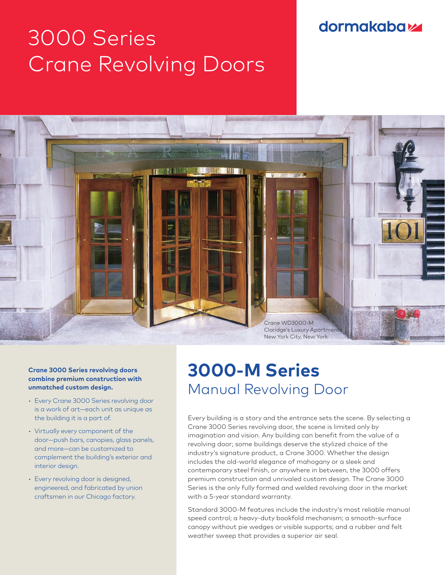## **dormakabazz**

# 3000 Series Crane Revolving Doors



#### **Crane 3000 Series revolving doors combine premium construction with unmatched custom design.**

- Every Crane 3000 Series revolving door is a work of art—each unit as unique as the building it is a part of.
- Virtually every component of the door—push bars, canopies, glass panels, and more—can be customized to complement the building's exterior and interior design.
- Every revolving door is designed, engineered, and fabricated by union craftsmen in our Chicago factory.

## **3000-M Series** Manual Revolving Door

Every building is a story and the entrance sets the scene. By selecting a Crane 3000 Series revolving door, the scene is limited only by imagination and vision. Any building can benefit from the value of a revolving door; some buildings deserve the stylized choice of the industry's signature product, a Crane 3000. Whether the design includes the old-world elegance of mahogany or a sleek and contemporary steel finish, or anywhere in between, the 3000 offers premium construction and unrivaled custom design. The Crane 3000 Series is the only fully formed and welded revolving door in the market with a 5-year standard warranty.

Standard 3000-M features include the industry's most reliable manual speed control; a heavy-duty bookfold mechanism; a smooth-surface canopy without pie wedges or visible supports; and a rubber and felt weather sweep that provides a superior air seal.